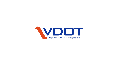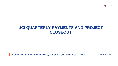

# **UCI QUARTERLY PAYMENTS AND PROJECT CLOSEOUT**

Yolanda Newton, Local Systems Policy Manager, Local Assistance Division August 22, 2018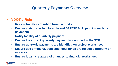### **Quarterly Payments Overview**

#### • **VDOT's Role**

- **Review transfers of urban formula funds**
- **Ensure match to urban formula and SAFETEA-LU paid in quarterly payments**
- **Notify locality of quarterly payment**
- **Ensure the correct quarterly payment is identified in the SYP**
- **Ensure quarterly payments are identified on project worksheet**
- **Ensure use of federal, state and local funds are reflected properly on invoices**
- **Ensure locality is aware of changes to financial worksheet**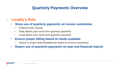### **Quarterly Payments Overview**

#### • **Locality's Role**

- **Show use of quarterly payments on invoice summaries**
	- Federal funds request
	- State Match (can come from quarterly payment)
	- Local Match (can come from quarterly payment)
- **Ensure proper billing based on funds available** 
	- Switch to proper federal/state/local match on invoice summaries
- **Report use of quarterly payments on year end financial reports**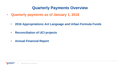#### **Quarterly Payments Overview**

- **Quarterly payments as of January 1, 2018**
	- **2016 Appropriations Act Language and Urban Formula Funds**
	- **Reconciliation of UCI projects**
	- **Annual Financial Report**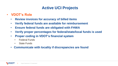# **Active UCI Projects**

- **VDOT's Role**
	- **Review invoices for accuracy of billed items**
	- **Verify federal funds are available for reimbursement**
	- **Ensure federal funds are obligated with FHWA**
	- **Verify proper percentages for federal/state/local funds is used**
	- **Proper coding in VDOT's financial system**
		- Federal Funds
		- State Funds
	- **Communicate with locality if discrepancies are found**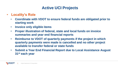# **Active UCI Projects**

- **Locality's Role**
	- **Coordinate with VDOT to ensure federal funds are obligated prior to starting work**
	- **Invoice only eligible items**
	- **Proper illustration of federal, state and local funds on invoice summaries and year end financial reports**
	- **Reimburse to VDOT of quarterly payments if the project in which quarterly payments were made is cancelled and no other project available to transfer federal or state funds**
	- **Submit a Year End Financial Report due to Local Assistance August 31st each year**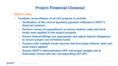# **Project Financial Closeout**

- **VDOT's Role**
	- **Complete reconciliation of all UCI projects to include:**
		- **Verification of the correct quarterly payment reflected in VDOT's financial systems**
		- **Perform review of expenditures to ensure federal, state and local funds were applied to the project properly**
		- **Ensure federal billings are appropriate and adjust federal obligations to ensure proper use of federal funds**
		- **Projects with multiple funds sources had the proper federal, state and local match applied**
		- **Ensure VDOT's Administrative UPC has proper budget and is financially closed with the corresponding UCI UPC**

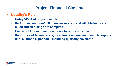# **Project Financial Closeout**

- **Locality's Role**
	- **Notify VDOT of project completion**
	- **Perform expenditure/billing review to ensure all eligible items are billed and all billings are complete**
	- **Ensure all federal reimbursements have been received**
	- **Report use of federal, state, local funds on year end financial reports until all funds expended – including quarterly payments**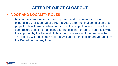# **AFTER PROJECT CLOSEOUT**

#### • **VDOT AND LOCALITY ROLES**

• Maintain accurate records of each project and documentation of all expenditures for a period of three (3) years after the final completion of a project unless there is federal funding on the project, in which case the such records shall be maintained for no less than three (3) years following the approval by the Federal Highway Administration of the final voucher. The locality will make such records available for inspection and/or audit by the Department at any time.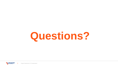# **Questions?**

**VDOT** Virginia Department of Transportation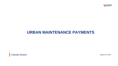

### **URBAN MAINTENANCE PAYMENTS**

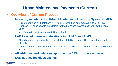# **Urban Maintenance Payments (Current)**

- **Overview of Current Process**
	- **Inventory maintained in Urban Maintenance Inventory System (UMIS)**
		- Street additions and deletions (U-1 form), resolution and maps due to VDOT by February 1st each year to be eligible for maintenance payments the following fiscal year
			- Due to Local Assistance (LAD) by April 1st
	- **LAD keys additions and deletions into UMIS and RIMS** 
		- Coordination required with Transportation Mobility Planning Division to functionally classify
		- LAD coordinates with Maintenance Division to add center line data for new additions in RIMS
	- **All additions and deletions approved by CTB in June each year**
	- **LAD notifies localities via mail**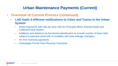# **Urban Maintenance Payments (Current)**

- **Overview of Current Process (continued)**
	- **LAD mails 4 different notifications to Cities and Towns in the Urban System**
		- Street Payments with rate per lane mile for Principal/ Minor Arterial Roads and Collector/Local Streets
		- Additions and deletions by functional classification to include number of lane miles subject to payment (sent only to localities with lane mileage changes)
		- VA Port Authority payments
		- Overweight Permit Fees Revenue Payments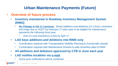# **Urban Maintenance Payments (Future)**

- **Overview of future process**
	- **Inventory maintained in Roadway Inventory Management System (RIMS)**
		- **No Change in the U-1 process.** Street additions and deletions (U-1 form), resolution and maps due to VDOT by February 1<sup>st</sup> each year to be eligible for maintenance payments the following fiscal year
			- Due to Local Assistance (LAD) by April 1st
	- **LAD keys additions and deletions into RIMS only**
		- Coordination required with Transportation Mobility Planning to functionally classify
		- Coordination required with Maintenance Division to add centerline data to RIMS
	- **All additions and deletions approved by CTB in June each year**
	- **LAD notifies localities via e-mail**
		- Some prior notifications will be combined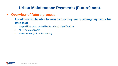# **Urban Maintenance Payments (Future) cont.**

- **Overview of future process**
	- **Localities will be able to view routes they are receiving payments for on a map**
		- Map will be color coded by functional classification
		- NHS data available
		- STRAHNET (still in the works)